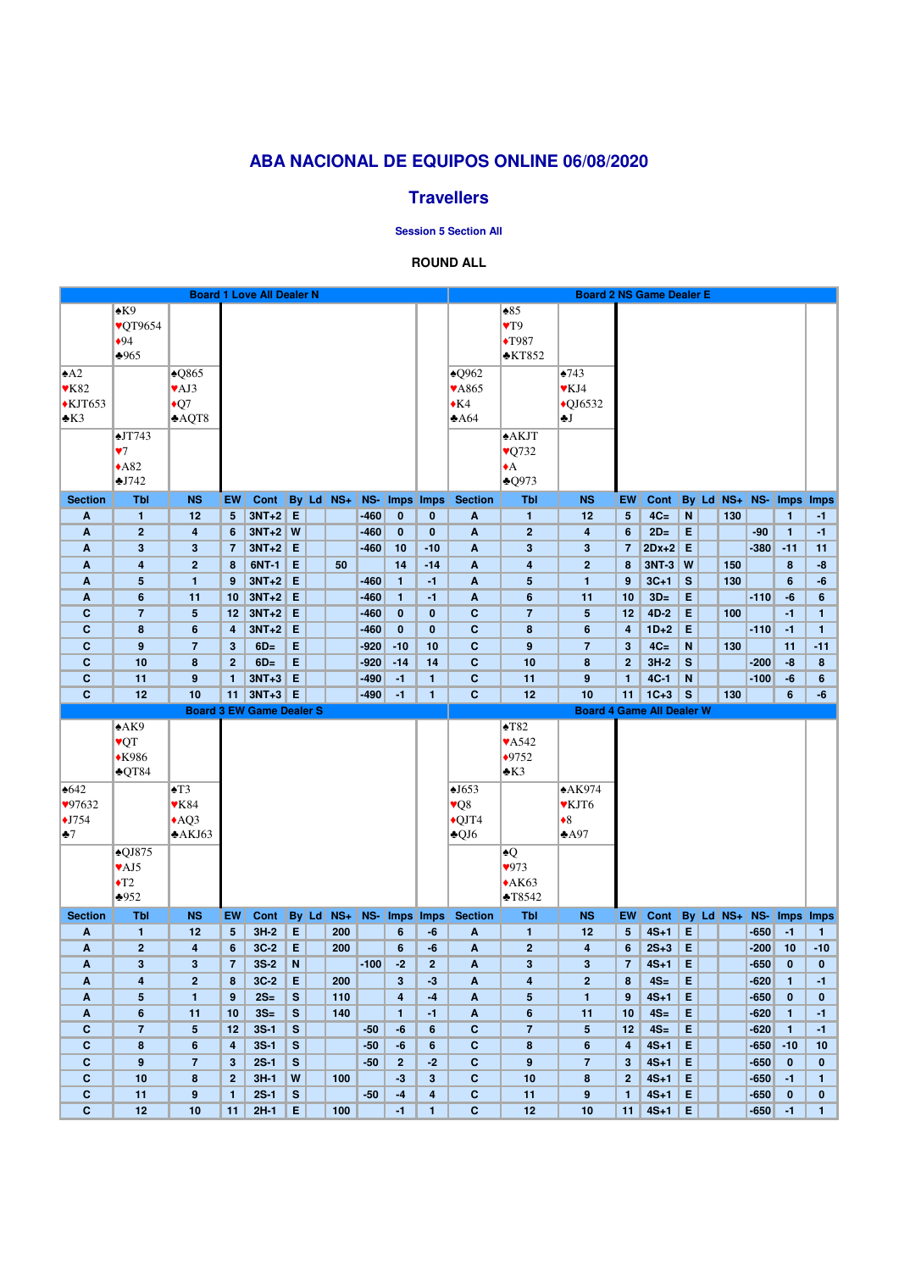|                              |                                    |                          |                    | <b>Board 1 Love All Dealer N</b> |               |       |       |        |                         |                                         |                              |                      | <b>Board 2 NS Game Dealer E</b>  |                    |                  |              |           |                  |                      |                   |
|------------------------------|------------------------------------|--------------------------|--------------------|----------------------------------|---------------|-------|-------|--------|-------------------------|-----------------------------------------|------------------------------|----------------------|----------------------------------|--------------------|------------------|--------------|-----------|------------------|----------------------|-------------------|
|                              | $\triangle$ K9                     |                          |                    |                                  |               |       |       |        |                         |                                         |                              | $\triangle 85$       |                                  |                    |                  |              |           |                  |                      |                   |
|                              | <b>VQT9654</b>                     |                          |                    |                                  |               |       |       |        |                         |                                         |                              | $\blacktriangledown$ |                                  |                    |                  |              |           |                  |                      |                   |
|                              | •94                                |                          |                    |                                  |               |       |       |        |                         |                                         |                              | $\blacklozenge$ T987 |                                  |                    |                  |              |           |                  |                      |                   |
|                              | $*965$                             |                          |                    |                                  |               |       |       |        |                         |                                         |                              | $*KT852$             |                                  |                    |                  |              |           |                  |                      |                   |
| $\triangle$ A2               |                                    | $\triangle$ Q865         |                    |                                  |               |       |       |        |                         |                                         | $\triangle$ Q962             |                      | $*743$                           |                    |                  |              |           |                  |                      |                   |
| $\blacktriangledown$ K82     |                                    | $\blacktriangledown$ AJ3 |                    |                                  |               |       |       |        |                         |                                         | <b>VA865</b>                 |                      | $\blacktriangledown$ KJ4         |                    |                  |              |           |                  |                      |                   |
|                              |                                    |                          |                    |                                  |               |       |       |        |                         |                                         | $\triangle$ K4               |                      |                                  |                    |                  |              |           |                  |                      |                   |
| $\triangle$ KJT653           |                                    | $\bigstar Q7$            |                    |                                  |               |       |       |        |                         |                                         |                              |                      | $\triangle$ QJ6532               |                    |                  |              |           |                  |                      |                   |
| $\triangle$ K3               |                                    | AQT8                     |                    |                                  |               |       |       |        |                         |                                         | $*A64$                       |                      | ₩J                               |                    |                  |              |           |                  |                      |                   |
|                              | $\triangle$ JT743                  |                          |                    |                                  |               |       |       |        |                         |                                         |                              | <b>AKJT</b>          |                                  |                    |                  |              |           |                  |                      |                   |
|                              | $\Psi$ 7                           |                          |                    |                                  |               |       |       |        |                         |                                         |                              | $\sqrt{Q}$ 732       |                                  |                    |                  |              |           |                  |                      |                   |
|                              | $*A82$                             |                          |                    |                                  |               |       |       |        |                         |                                         |                              | $\triangle$          |                                  |                    |                  |              |           |                  |                      |                   |
|                              | $\triangle$ J742                   |                          |                    |                                  |               |       |       |        |                         |                                         |                              | $*$ Q973             |                                  |                    |                  |              |           |                  |                      |                   |
| <b>Section</b>               | <b>Tbl</b>                         | <b>NS</b>                | EW                 | Cont By Ld NS+                   |               |       |       | $NS-$  | Imps Imps               |                                         | <b>Section</b>               | <b>Tbl</b>           | <b>NS</b>                        | EW                 | Cont             |              | By Ld NS+ |                  |                      | NS- Imps Imps     |
| A                            | $\mathbf{1}$                       | 12                       | 5 <sup>5</sup>     | $3NT+2$ E                        |               |       |       | $-460$ | $\bf{0}$                | $\bf{0}$                                | A                            | 1                    | 12                               | 5 <sup>5</sup>     | $4C=$            | $\mathbf N$  | 130       |                  | $\mathbf{1}$         | $-1$              |
| A                            | $\overline{2}$                     | $\overline{\mathbf{4}}$  | 6                  | $3NT+2$ W                        |               |       |       | $-460$ | $\mathbf{0}$            | $\mathbf{0}$                            | A                            | $\mathbf{2}$         | 4                                | 6                  | $2D=$            | E            |           | $-90$            | $\mathbf{1}$         | $-1$              |
| A                            | 3                                  | $\mathbf{3}$             | $\overline{7}$     | $3NT+2$ E                        |               |       |       | $-460$ | 10                      | $-10$                                   | $\boldsymbol{A}$             | 3                    | 3                                | $\overline{7}$     | $2Dx+2$ E        |              |           | $-380$           | $-11$                | 11                |
| A                            | 4                                  | $\overline{2}$           | 8                  | 6NT-1                            | E             |       | 50    |        | 14                      | $-14$                                   | A                            | 4                    | $\overline{2}$                   | 8                  | $3NT-3$ W        |              | 150       |                  | 8                    | -8                |
| A                            | 5                                  | 1                        | 9                  | $3NT+2$                          | $\mathsf E$   |       |       | $-460$ | $\mathbf{1}$            | $-1$                                    | $\boldsymbol{\mathsf{A}}$    | 5                    | $\mathbf{1}$                     | 9                  | $3C+1$           | $\mathbf{s}$ | 130       |                  | $6\phantom{1}$       | $-6$              |
| A                            | 6                                  | 11                       | 10                 | $3NT+2$                          | E             |       |       | $-460$ | $\mathbf{1}$            | $-1$                                    | A                            | $6\phantom{1}$       | 11                               | 10                 | $3D=$            | E            |           | $-110$           | $-6$                 | $6\phantom{1}$    |
| $\mathbf c$                  | $\overline{7}$                     | $5\phantom{1}$           | 12                 | $3NT+2$                          | E             |       |       | $-460$ | $\mathbf{0}$            | $\mathbf{0}$                            | $\mathbf c$                  | $\overline{7}$       | 5                                | 12                 | $4D-2$           | E            | 100       |                  | $-1$                 | $\mathbf{1}$      |
| $\mathbf c$                  | 8                                  | $6\phantom{1}$           | 4                  | $3NT+2$                          | E             |       |       | $-460$ | $\mathbf 0$             | $\mathbf{0}$                            | $\mathbf C$                  | 8                    | 6                                | 4                  | $1D+2$           | E            |           | $-110$           | $-1$                 | $\mathbf{1}$      |
| $\mathbf c$                  | 9                                  | $\overline{7}$           | 3                  | $6D=$                            | E             |       |       | $-920$ | $-10$                   | 10                                      | $\mathbf C$                  | $\boldsymbol{9}$     | $\overline{7}$                   | 3                  | $4C=$            | ${\bf N}$    | 130       |                  | 11                   | $-11$             |
| $\mathbf C$                  | 10                                 | $\boldsymbol{8}$         | 2 <sup>2</sup>     | $6D=$                            | E             |       |       | $-920$ | $-14$                   | 14                                      | $\mathbf{C}$                 | 10                   | 8                                | 2 <sup>2</sup>     | $3H-2$           | $\mathbf{s}$ |           | $-200$           | $-8$                 | 8                 |
| C                            | 11                                 | $\boldsymbol{9}$         | 1                  | $3NT+3$                          | E             |       |       | $-490$ | $-1$                    | $\mathbf{1}$                            | $\mathbf{C}$                 | 11                   | 9                                | $\mathbf{1}$       | $4C-1$           | N            |           | $-100$           | $-6$                 | $6\phantom{1}$    |
| $\mathbf{C}$                 | 12                                 | 10                       | 11 <sup>1</sup>    | $3NT+3$ E                        |               |       |       | $-490$ | $-1$                    | $\mathbf{1}$                            | $\mathbf{C}$                 | 12                   | 10                               | 11                 | $1C+3$           | $\mathbf{s}$ | 130       |                  | $6\phantom{1}$       | $-6$              |
|                              |                                    |                          |                    |                                  |               |       |       |        |                         |                                         |                              |                      |                                  |                    |                  |              |           |                  |                      |                   |
|                              |                                    |                          |                    | <b>Board 3 EW Game Dealer S</b>  |               |       |       |        |                         |                                         |                              |                      | <b>Board 4 Game All Dealer W</b> |                    |                  |              |           |                  |                      |                   |
|                              | A K9                               |                          |                    |                                  |               |       |       |        |                         |                                         |                              | $\triangle$ T82      |                                  |                    |                  |              |           |                  |                      |                   |
|                              | <b>VQT</b>                         |                          |                    |                                  |               |       |       |        |                         |                                         |                              | <b>VA542</b>         |                                  |                    |                  |              |           |                  |                      |                   |
|                              | $*K986$                            |                          |                    |                                  |               |       |       |        |                         |                                         |                              | $*9752$              |                                  |                    |                  |              |           |                  |                      |                   |
|                              | $\triangle$ QT84                   |                          |                    |                                  |               |       |       |        |                         |                                         |                              | $*K3$                |                                  |                    |                  |              |           |                  |                      |                   |
| $\triangle 642$              |                                    | $\blacktriangle$ T3      |                    |                                  |               |       |       |        |                         |                                         | $\triangle$ J653             |                      | $*AK974$                         |                    |                  |              |           |                  |                      |                   |
| 97632                        |                                    | $\mathbf{Y}K84$          |                    |                                  |               |       |       |        |                         |                                         | $\sqrt{Q}$                   |                      | <b>▼KJT6</b>                     |                    |                  |              |           |                  |                      |                   |
| $\bigstar$ J754              |                                    | AQ3                      |                    |                                  |               |       |       |        |                         |                                         | $\bigcirc$ QJT4              |                      | $\triangleleft$                  |                    |                  |              |           |                  |                      |                   |
| $\clubsuit$ 7                |                                    | A KJ63                   |                    |                                  |               |       |       |        |                         |                                         | $\triangle$ QJ6              |                      | $*$ A97                          |                    |                  |              |           |                  |                      |                   |
|                              | $\triangle$ QJ875                  |                          |                    |                                  |               |       |       |        |                         |                                         |                              | $\triangle Q$        |                                  |                    |                  |              |           |                  |                      |                   |
|                              | $\blacktriangledown$ AJ5           |                          |                    |                                  |               |       |       |        |                         |                                         |                              | 973                  |                                  |                    |                  |              |           |                  |                      |                   |
|                              |                                    |                          |                    |                                  |               |       |       |        |                         |                                         |                              |                      |                                  |                    |                  |              |           |                  |                      |                   |
|                              | $\blacktriangleright$ T2<br>$*952$ |                          |                    |                                  |               |       |       |        |                         |                                         |                              | $*AK63$<br>T8542     |                                  |                    |                  |              |           |                  |                      |                   |
| <b>Section</b>               | <b>Tbl</b>                         | <b>NS</b>                | EW                 | Cont                             |               | By Ld | $NS+$ |        | NS- Imps Imps           |                                         | <b>Section</b>               | <b>Tbl</b>           | <b>NS</b>                        | EW                 | Cont             |              | By Ld NS+ |                  | <b>NS-</b> Imps Imps |                   |
| $\boldsymbol{A}$             | $\mathbf{1}$                       | 12                       | $5\phantom{.0}$    | $3H-2$                           | E             |       | 200   |        | $6\phantom{1}$          | -6                                      | $\boldsymbol{A}$             | 1                    | 12                               | 5 <sup>5</sup>     | $4S+1$           | E            |           | $-650$           | $-1$                 | $\mathbf{1}$      |
| A                            | $\overline{2}$                     | $\overline{\mathbf{4}}$  | 6                  | $3C-2$                           | E             |       | 200   |        | $6\phantom{1}$          | -6                                      | A                            | $\mathbf{2}$         | $\overline{\mathbf{4}}$          | 6                  | $2S+3$           | E            |           | $-200$           | 10                   | $-10$             |
| A                            | $\mathbf{3}$                       | $\mathbf{3}$             | $\overline{7}$     | $3S-2$                           | N.            |       |       | $-100$ | $-2$                    | 2 <sup>1</sup>                          | $\boldsymbol{\mathsf{A}}$    | 3                    | 3                                | $\overline{7}$     | $4S+1$           | E            |           | $-650$           | $\mathbf{0}$         | $\mathbf{0}$      |
| A                            | 4                                  | $\overline{2}$           | 8                  | $3C-2$                           | E             |       | 200   |        | 3 <sup>2</sup>          | $-3$                                    | A                            | 4                    | $\overline{2}$                   | 8                  | $4S=$            | E            |           | $-620$           | $\mathbf{1}$         | $-1$              |
| A                            | 5                                  | $\mathbf{1}$             | 9                  | $2S=$                            | S             |       | 110   |        | $\overline{\mathbf{4}}$ | $-4$                                    | $\boldsymbol{\mathsf{A}}$    | $5\phantom{1}$       | 1                                | 9                  | $4S+1$           | E            |           | $-650$           | $\mathbf 0$          | $\mathbf{0}$      |
| A                            | $6\phantom{a}$                     | 11                       | 10                 | $3S=$                            | S             |       | 140   |        | $\mathbf{1}$            | $-1$                                    | A                            | $6\phantom{1}$       | 11                               | 10                 | $4S=$            | E            |           | $-620$           | $\mathbf{1}$         | $-1$              |
| $\mathbf c$                  | $\overline{7}$                     | $5\phantom{1}$           | 12                 | $3S-1$                           | S             |       |       | $-50$  | -6                      | $6\phantom{a}$                          | $\mathbf{C}$                 | $\overline{7}$       | 5                                | 12                 | $4S=$            | E            |           | $-620$           | $\mathbf{1}$         | $-1$              |
| C                            | 8                                  | $6\phantom{1}$           | 4                  | $3S-1$                           | S             |       |       | $-50$  | $-6$                    | $6\phantom{1}$                          | $\mathbf{C}$                 | 8                    | 6                                | 4                  | $4S+1$           | E            |           | $-650$           | $-10$                | 10                |
| $\mathbf c$                  | 9                                  | $\overline{7}$           | 3                  | $2S-1$                           | ${\mathsf S}$ |       |       | $-50$  | $\overline{2}$          | $-2$                                    | $\mathbf C$                  | $\boldsymbol{9}$     | $\overline{7}$                   | 3                  | $4S+1$           | E            |           | $-650$           | $\mathbf{0}$         | $\mathbf{0}$      |
| $\mathbf C$                  | 10                                 | $\boldsymbol{8}$         | $\mathbf{2}$       | $3H-1$                           | W             |       | 100   |        | $-3$                    | 3 <sup>5</sup>                          | $\mathbf c$                  | 10                   | 8                                | 2 <sup>2</sup>     | $4S+1$           | E            |           | $-650$           | $-1$                 | $\mathbf{1}$      |
| $\mathbf{C}$<br>$\mathbf{C}$ | 11<br>12                           | $\boldsymbol{9}$<br>10   | $\mathbf{1}$<br>11 | $2S-1$<br>$2H-1$                 | S<br>E        |       | 100   | $-50$  | $-4$<br>$-1$            | $\overline{\mathbf{4}}$<br>$\mathbf{1}$ | $\mathbf{C}$<br>$\mathbf{C}$ | 11<br>12             | $\boldsymbol{9}$<br>10           | $\mathbf{1}$<br>11 | $4S+1$<br>$4S+1$ | E<br>E       |           | $-650$<br>$-650$ | $\mathbf{0}$<br>$-1$ | $\mathbf{0}$<br>1 |

# **ABA NACIONAL DE EQUIPOS ONLINE 06/08/2020**

### **Travellers**

**Session 5 Section All**

### **ROUND ALL**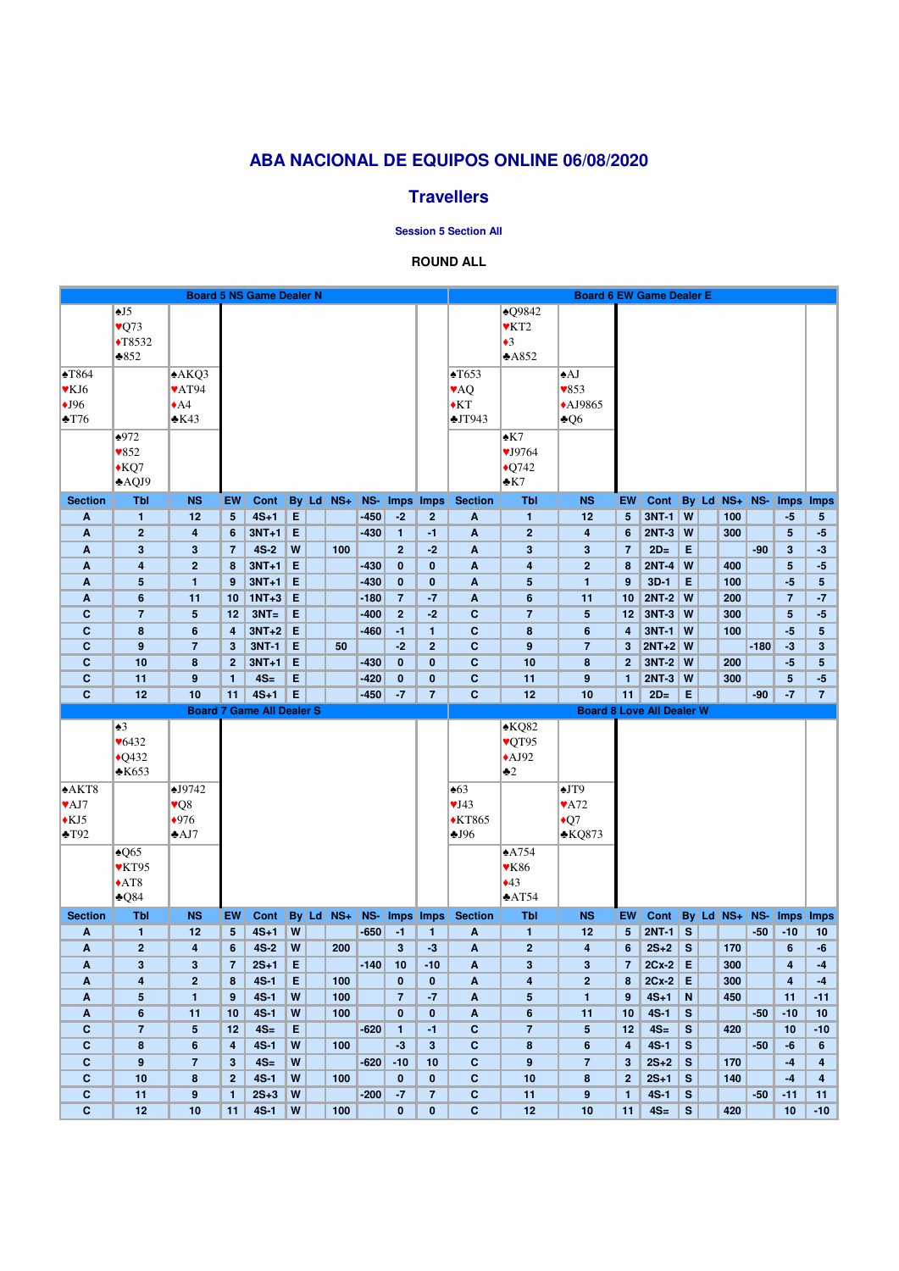# **ABA NACIONAL DE EQUIPOS ONLINE 06/08/2020**

### **Travellers**

**Session 5 Section All**

### **ROUND ALL**

| $\triangle Q9842$<br>$\overline{.5}$<br>$\sqrt{Q}$ 73<br>$\blacktriangledown$ KT2<br>$\sqrt{T8532}$<br>$\triangleleft$ 3<br>$*852$<br>A852<br>$\sqrt{T653}$<br>$\blacktriangle$ T864<br>A KQ3<br>$\triangle$ AJ<br><b>VAT94</b><br>$\blacktriangledown 853$<br>$\blacktriangledown$ KJ6<br><b>VAQ</b><br>$\blacklozenge$ KT<br>$\triangle$ AJ9865<br>$\bigstar$ J96<br>$\triangle$ A4<br>$\triangle$ T76<br>$\triangle$ K43<br>JT943<br>$\triangle Q6$<br>$\triangle 972$<br>$\triangle$ K7<br>$\blacktriangledown 852$<br>$\sqrt{J}9764$<br>$*KQ7$<br>$\triangle$ Q742<br>AQJ9<br>$\cdot$ K7<br>$By$ Ld $NS+$<br>NS- Imps Imps<br>By Ld NS+ NS-<br><b>Section</b><br>Tbl<br><b>NS</b><br>Cont<br><b>Section</b><br><b>Tbl</b><br><b>NS</b><br>Cont<br><b>EW</b><br>EW<br>Imps Imps<br>E<br>$-450$<br>$3NT-1$<br>$4S+1$<br>$-2$<br>$\mathsf{w}$<br>100<br>12<br>5 <sup>5</sup><br>$\overline{2}$<br>$\pmb{\mathsf{A}}$<br>$\mathbf{1}$<br>12<br>$5\phantom{.0}$<br>$-5$<br>A<br>$\mathbf{1}$<br>$5\phantom{.0}$<br>E<br>$2NT-3$<br>$3NT+1$<br>$\mathbf{2}$<br>$\overline{\mathsf{w}}$<br>300<br>5 <sup>5</sup><br>$\overline{2}$<br>$-430$<br>$-1$<br>A<br>$-5$<br>A<br>4<br>6<br>$\mathbf{1}$<br>4<br>6<br>$4S-2$<br>W<br>$\overline{2}$<br>$-2$<br>$2D=$<br>E<br>$\mathbf{3}$<br>3<br>100<br>$\mathbf{3}$<br>$\overline{7}$<br>$-90$<br>3 <sup>5</sup><br>$\overline{7}$<br>A<br>3<br>$-3$<br>A<br>$2NT-4$<br>$\overline{2}$<br>$3NT+1$<br>E<br>$-430$<br>$\mathbf 0$<br>$\mathbf{0}$<br>$\mathsf{w}$<br>5 <sup>5</sup><br>4<br>A<br>4<br>$\overline{2}$<br>8<br>400<br>A<br>8<br>$-5$<br>E<br>$3NT+1$<br>$3D-1$<br>$5\phantom{.0}$<br>$\mathbf{1}$<br>$-430$<br>$\mathbf{0}$<br>$\bf{0}$<br>$\boldsymbol{\mathsf{A}}$<br>$\overline{\mathbf{5}}$<br>E<br>$-5$<br>$5\phantom{.0}$<br>9<br>$\mathbf{1}$<br>9<br>100<br>A<br>E<br>$1NT + 3$<br>$-7$<br>$2NT-2$ W<br>$6\phantom{1}$<br>$-180$<br>$\overline{7}$<br>$6\phantom{1}$<br>10<br>200<br>$\overline{7}$<br>$-7$<br>$\boldsymbol{A}$<br>11<br>10<br>A<br>11<br>$3NT =$<br>E<br>$-2$<br>$3NT-3$ W<br>$\mathbf C$<br>$\overline{7}$<br>$5\phantom{1}$<br>12<br>$-400$<br>$\overline{2}$<br>$\mathbf{C}$<br>$\overline{7}$<br>12<br>300<br>5 <sup>5</sup><br>$\sqrt{5}$<br>$-5$<br>$3NT+2$<br>E<br>$\mathbf{C}$<br>$3NT-1$ W<br>$\mathbf C$<br>$6\phantom{1}6$<br>$-460$<br>8<br>100<br>$-5$<br>8<br>4<br>$-1$<br>$\mathbf{1}$<br>$6\phantom{1}6$<br>$5\phantom{.0}$<br>4<br>E<br>3NT-1<br>$\overline{2}$<br>$\mathbf{C}$<br>$2NT+2$ W<br>$\mathbf c$<br>$\boldsymbol{9}$<br>$\overline{7}$<br>$-2$<br>$\boldsymbol{9}$<br>$-180$<br>$-3$<br>$\mathbf{3}$<br>3<br>50<br>$\overline{7}$<br>3<br>E<br>$3NT-2$ W<br>$\mathbf C$<br>$\boldsymbol{8}$<br>$3NT+1$<br>$-430$<br>$\mathbf{0}$<br>$\mathbf{0}$<br>$\mathbf{C}$<br>10<br>$\boldsymbol{8}$<br>200<br>$-5$<br>$5\phantom{.0}$<br>10<br>2 <sup>1</sup><br>$\mathbf{2}$ |
|-------------------------------------------------------------------------------------------------------------------------------------------------------------------------------------------------------------------------------------------------------------------------------------------------------------------------------------------------------------------------------------------------------------------------------------------------------------------------------------------------------------------------------------------------------------------------------------------------------------------------------------------------------------------------------------------------------------------------------------------------------------------------------------------------------------------------------------------------------------------------------------------------------------------------------------------------------------------------------------------------------------------------------------------------------------------------------------------------------------------------------------------------------------------------------------------------------------------------------------------------------------------------------------------------------------------------------------------------------------------------------------------------------------------------------------------------------------------------------------------------------------------------------------------------------------------------------------------------------------------------------------------------------------------------------------------------------------------------------------------------------------------------------------------------------------------------------------------------------------------------------------------------------------------------------------------------------------------------------------------------------------------------------------------------------------------------------------------------------------------------------------------------------------------------------------------------------------------------------------------------------------------------------------------------------------------------------------------------------------------------------------------------------------------------------------------------------------------------------------------------------------------------------------------------------------------------------------------------------------------------------------------------------------------------------------------------------------------------------------------------------------------------------------------------------------------------------------------------------------------------------|
|                                                                                                                                                                                                                                                                                                                                                                                                                                                                                                                                                                                                                                                                                                                                                                                                                                                                                                                                                                                                                                                                                                                                                                                                                                                                                                                                                                                                                                                                                                                                                                                                                                                                                                                                                                                                                                                                                                                                                                                                                                                                                                                                                                                                                                                                                                                                                                                                                                                                                                                                                                                                                                                                                                                                                                                                                                                                               |
|                                                                                                                                                                                                                                                                                                                                                                                                                                                                                                                                                                                                                                                                                                                                                                                                                                                                                                                                                                                                                                                                                                                                                                                                                                                                                                                                                                                                                                                                                                                                                                                                                                                                                                                                                                                                                                                                                                                                                                                                                                                                                                                                                                                                                                                                                                                                                                                                                                                                                                                                                                                                                                                                                                                                                                                                                                                                               |
|                                                                                                                                                                                                                                                                                                                                                                                                                                                                                                                                                                                                                                                                                                                                                                                                                                                                                                                                                                                                                                                                                                                                                                                                                                                                                                                                                                                                                                                                                                                                                                                                                                                                                                                                                                                                                                                                                                                                                                                                                                                                                                                                                                                                                                                                                                                                                                                                                                                                                                                                                                                                                                                                                                                                                                                                                                                                               |
|                                                                                                                                                                                                                                                                                                                                                                                                                                                                                                                                                                                                                                                                                                                                                                                                                                                                                                                                                                                                                                                                                                                                                                                                                                                                                                                                                                                                                                                                                                                                                                                                                                                                                                                                                                                                                                                                                                                                                                                                                                                                                                                                                                                                                                                                                                                                                                                                                                                                                                                                                                                                                                                                                                                                                                                                                                                                               |
|                                                                                                                                                                                                                                                                                                                                                                                                                                                                                                                                                                                                                                                                                                                                                                                                                                                                                                                                                                                                                                                                                                                                                                                                                                                                                                                                                                                                                                                                                                                                                                                                                                                                                                                                                                                                                                                                                                                                                                                                                                                                                                                                                                                                                                                                                                                                                                                                                                                                                                                                                                                                                                                                                                                                                                                                                                                                               |
|                                                                                                                                                                                                                                                                                                                                                                                                                                                                                                                                                                                                                                                                                                                                                                                                                                                                                                                                                                                                                                                                                                                                                                                                                                                                                                                                                                                                                                                                                                                                                                                                                                                                                                                                                                                                                                                                                                                                                                                                                                                                                                                                                                                                                                                                                                                                                                                                                                                                                                                                                                                                                                                                                                                                                                                                                                                                               |
|                                                                                                                                                                                                                                                                                                                                                                                                                                                                                                                                                                                                                                                                                                                                                                                                                                                                                                                                                                                                                                                                                                                                                                                                                                                                                                                                                                                                                                                                                                                                                                                                                                                                                                                                                                                                                                                                                                                                                                                                                                                                                                                                                                                                                                                                                                                                                                                                                                                                                                                                                                                                                                                                                                                                                                                                                                                                               |
|                                                                                                                                                                                                                                                                                                                                                                                                                                                                                                                                                                                                                                                                                                                                                                                                                                                                                                                                                                                                                                                                                                                                                                                                                                                                                                                                                                                                                                                                                                                                                                                                                                                                                                                                                                                                                                                                                                                                                                                                                                                                                                                                                                                                                                                                                                                                                                                                                                                                                                                                                                                                                                                                                                                                                                                                                                                                               |
|                                                                                                                                                                                                                                                                                                                                                                                                                                                                                                                                                                                                                                                                                                                                                                                                                                                                                                                                                                                                                                                                                                                                                                                                                                                                                                                                                                                                                                                                                                                                                                                                                                                                                                                                                                                                                                                                                                                                                                                                                                                                                                                                                                                                                                                                                                                                                                                                                                                                                                                                                                                                                                                                                                                                                                                                                                                                               |
|                                                                                                                                                                                                                                                                                                                                                                                                                                                                                                                                                                                                                                                                                                                                                                                                                                                                                                                                                                                                                                                                                                                                                                                                                                                                                                                                                                                                                                                                                                                                                                                                                                                                                                                                                                                                                                                                                                                                                                                                                                                                                                                                                                                                                                                                                                                                                                                                                                                                                                                                                                                                                                                                                                                                                                                                                                                                               |
|                                                                                                                                                                                                                                                                                                                                                                                                                                                                                                                                                                                                                                                                                                                                                                                                                                                                                                                                                                                                                                                                                                                                                                                                                                                                                                                                                                                                                                                                                                                                                                                                                                                                                                                                                                                                                                                                                                                                                                                                                                                                                                                                                                                                                                                                                                                                                                                                                                                                                                                                                                                                                                                                                                                                                                                                                                                                               |
|                                                                                                                                                                                                                                                                                                                                                                                                                                                                                                                                                                                                                                                                                                                                                                                                                                                                                                                                                                                                                                                                                                                                                                                                                                                                                                                                                                                                                                                                                                                                                                                                                                                                                                                                                                                                                                                                                                                                                                                                                                                                                                                                                                                                                                                                                                                                                                                                                                                                                                                                                                                                                                                                                                                                                                                                                                                                               |
|                                                                                                                                                                                                                                                                                                                                                                                                                                                                                                                                                                                                                                                                                                                                                                                                                                                                                                                                                                                                                                                                                                                                                                                                                                                                                                                                                                                                                                                                                                                                                                                                                                                                                                                                                                                                                                                                                                                                                                                                                                                                                                                                                                                                                                                                                                                                                                                                                                                                                                                                                                                                                                                                                                                                                                                                                                                                               |
|                                                                                                                                                                                                                                                                                                                                                                                                                                                                                                                                                                                                                                                                                                                                                                                                                                                                                                                                                                                                                                                                                                                                                                                                                                                                                                                                                                                                                                                                                                                                                                                                                                                                                                                                                                                                                                                                                                                                                                                                                                                                                                                                                                                                                                                                                                                                                                                                                                                                                                                                                                                                                                                                                                                                                                                                                                                                               |
|                                                                                                                                                                                                                                                                                                                                                                                                                                                                                                                                                                                                                                                                                                                                                                                                                                                                                                                                                                                                                                                                                                                                                                                                                                                                                                                                                                                                                                                                                                                                                                                                                                                                                                                                                                                                                                                                                                                                                                                                                                                                                                                                                                                                                                                                                                                                                                                                                                                                                                                                                                                                                                                                                                                                                                                                                                                                               |
|                                                                                                                                                                                                                                                                                                                                                                                                                                                                                                                                                                                                                                                                                                                                                                                                                                                                                                                                                                                                                                                                                                                                                                                                                                                                                                                                                                                                                                                                                                                                                                                                                                                                                                                                                                                                                                                                                                                                                                                                                                                                                                                                                                                                                                                                                                                                                                                                                                                                                                                                                                                                                                                                                                                                                                                                                                                                               |
|                                                                                                                                                                                                                                                                                                                                                                                                                                                                                                                                                                                                                                                                                                                                                                                                                                                                                                                                                                                                                                                                                                                                                                                                                                                                                                                                                                                                                                                                                                                                                                                                                                                                                                                                                                                                                                                                                                                                                                                                                                                                                                                                                                                                                                                                                                                                                                                                                                                                                                                                                                                                                                                                                                                                                                                                                                                                               |
|                                                                                                                                                                                                                                                                                                                                                                                                                                                                                                                                                                                                                                                                                                                                                                                                                                                                                                                                                                                                                                                                                                                                                                                                                                                                                                                                                                                                                                                                                                                                                                                                                                                                                                                                                                                                                                                                                                                                                                                                                                                                                                                                                                                                                                                                                                                                                                                                                                                                                                                                                                                                                                                                                                                                                                                                                                                                               |
|                                                                                                                                                                                                                                                                                                                                                                                                                                                                                                                                                                                                                                                                                                                                                                                                                                                                                                                                                                                                                                                                                                                                                                                                                                                                                                                                                                                                                                                                                                                                                                                                                                                                                                                                                                                                                                                                                                                                                                                                                                                                                                                                                                                                                                                                                                                                                                                                                                                                                                                                                                                                                                                                                                                                                                                                                                                                               |
|                                                                                                                                                                                                                                                                                                                                                                                                                                                                                                                                                                                                                                                                                                                                                                                                                                                                                                                                                                                                                                                                                                                                                                                                                                                                                                                                                                                                                                                                                                                                                                                                                                                                                                                                                                                                                                                                                                                                                                                                                                                                                                                                                                                                                                                                                                                                                                                                                                                                                                                                                                                                                                                                                                                                                                                                                                                                               |
|                                                                                                                                                                                                                                                                                                                                                                                                                                                                                                                                                                                                                                                                                                                                                                                                                                                                                                                                                                                                                                                                                                                                                                                                                                                                                                                                                                                                                                                                                                                                                                                                                                                                                                                                                                                                                                                                                                                                                                                                                                                                                                                                                                                                                                                                                                                                                                                                                                                                                                                                                                                                                                                                                                                                                                                                                                                                               |
|                                                                                                                                                                                                                                                                                                                                                                                                                                                                                                                                                                                                                                                                                                                                                                                                                                                                                                                                                                                                                                                                                                                                                                                                                                                                                                                                                                                                                                                                                                                                                                                                                                                                                                                                                                                                                                                                                                                                                                                                                                                                                                                                                                                                                                                                                                                                                                                                                                                                                                                                                                                                                                                                                                                                                                                                                                                                               |
|                                                                                                                                                                                                                                                                                                                                                                                                                                                                                                                                                                                                                                                                                                                                                                                                                                                                                                                                                                                                                                                                                                                                                                                                                                                                                                                                                                                                                                                                                                                                                                                                                                                                                                                                                                                                                                                                                                                                                                                                                                                                                                                                                                                                                                                                                                                                                                                                                                                                                                                                                                                                                                                                                                                                                                                                                                                                               |
| E<br>$2NT-3$ W<br>$\mathbf C$<br>$\boldsymbol{9}$<br>$4S=$<br>$\bf{0}$<br>$\mathbf{C}$<br>$5\phantom{.0}$<br>$-5$<br>11<br>$-420$<br>$\bf{0}$<br>11<br>9<br>300<br>$\mathbf{1}$<br>$\mathbf{1}$                                                                                                                                                                                                                                                                                                                                                                                                                                                                                                                                                                                                                                                                                                                                                                                                                                                                                                                                                                                                                                                                                                                                                                                                                                                                                                                                                                                                                                                                                                                                                                                                                                                                                                                                                                                                                                                                                                                                                                                                                                                                                                                                                                                                                                                                                                                                                                                                                                                                                                                                                                                                                                                                               |
| E<br>11<br>$4S+1$<br>$-7$<br>$\overline{7}$<br>$\mathbf{C}$<br>10<br>$2D=$<br>E<br>$-7$<br>$\mathbf C$<br>12<br>10<br>$-450$<br>12<br>11<br>$-90$<br>7 <sup>7</sup>                                                                                                                                                                                                                                                                                                                                                                                                                                                                                                                                                                                                                                                                                                                                                                                                                                                                                                                                                                                                                                                                                                                                                                                                                                                                                                                                                                                                                                                                                                                                                                                                                                                                                                                                                                                                                                                                                                                                                                                                                                                                                                                                                                                                                                                                                                                                                                                                                                                                                                                                                                                                                                                                                                           |
| <b>Board 7 Game All Dealer S</b><br><b>Board 8 Love All Dealer W</b>                                                                                                                                                                                                                                                                                                                                                                                                                                                                                                                                                                                                                                                                                                                                                                                                                                                                                                                                                                                                                                                                                                                                                                                                                                                                                                                                                                                                                                                                                                                                                                                                                                                                                                                                                                                                                                                                                                                                                                                                                                                                                                                                                                                                                                                                                                                                                                                                                                                                                                                                                                                                                                                                                                                                                                                                          |
| $\blacktriangle$ 3<br>$*KQ82$                                                                                                                                                                                                                                                                                                                                                                                                                                                                                                                                                                                                                                                                                                                                                                                                                                                                                                                                                                                                                                                                                                                                                                                                                                                                                                                                                                                                                                                                                                                                                                                                                                                                                                                                                                                                                                                                                                                                                                                                                                                                                                                                                                                                                                                                                                                                                                                                                                                                                                                                                                                                                                                                                                                                                                                                                                                 |
| $\blacktriangledown$ 6432<br>vQT95                                                                                                                                                                                                                                                                                                                                                                                                                                                                                                                                                                                                                                                                                                                                                                                                                                                                                                                                                                                                                                                                                                                                                                                                                                                                                                                                                                                                                                                                                                                                                                                                                                                                                                                                                                                                                                                                                                                                                                                                                                                                                                                                                                                                                                                                                                                                                                                                                                                                                                                                                                                                                                                                                                                                                                                                                                            |
| $\triangle$ Q432<br>$\triangle$ AJ92                                                                                                                                                                                                                                                                                                                                                                                                                                                                                                                                                                                                                                                                                                                                                                                                                                                                                                                                                                                                                                                                                                                                                                                                                                                                                                                                                                                                                                                                                                                                                                                                                                                                                                                                                                                                                                                                                                                                                                                                                                                                                                                                                                                                                                                                                                                                                                                                                                                                                                                                                                                                                                                                                                                                                                                                                                          |
| $\triangle$ K653<br>$\blacktriangleright$ 2                                                                                                                                                                                                                                                                                                                                                                                                                                                                                                                                                                                                                                                                                                                                                                                                                                                                                                                                                                                                                                                                                                                                                                                                                                                                                                                                                                                                                                                                                                                                                                                                                                                                                                                                                                                                                                                                                                                                                                                                                                                                                                                                                                                                                                                                                                                                                                                                                                                                                                                                                                                                                                                                                                                                                                                                                                   |
| AKT8<br>$\triangle$ J $9742$<br>$\overline{63}$<br>$\triangle$ JT9                                                                                                                                                                                                                                                                                                                                                                                                                                                                                                                                                                                                                                                                                                                                                                                                                                                                                                                                                                                                                                                                                                                                                                                                                                                                                                                                                                                                                                                                                                                                                                                                                                                                                                                                                                                                                                                                                                                                                                                                                                                                                                                                                                                                                                                                                                                                                                                                                                                                                                                                                                                                                                                                                                                                                                                                            |
| $\blacktriangledown$ A72<br>$\blacktriangledown$ AJ7<br>$\sqrt{Q}8$<br>VJ43                                                                                                                                                                                                                                                                                                                                                                                                                                                                                                                                                                                                                                                                                                                                                                                                                                                                                                                                                                                                                                                                                                                                                                                                                                                                                                                                                                                                                                                                                                                                                                                                                                                                                                                                                                                                                                                                                                                                                                                                                                                                                                                                                                                                                                                                                                                                                                                                                                                                                                                                                                                                                                                                                                                                                                                                   |
| $*976$<br>$\blacklozenge$ KT865<br>$\bigstar Q7$<br>$\bigstar$ KJ5                                                                                                                                                                                                                                                                                                                                                                                                                                                                                                                                                                                                                                                                                                                                                                                                                                                                                                                                                                                                                                                                                                                                                                                                                                                                                                                                                                                                                                                                                                                                                                                                                                                                                                                                                                                                                                                                                                                                                                                                                                                                                                                                                                                                                                                                                                                                                                                                                                                                                                                                                                                                                                                                                                                                                                                                            |
| $\triangle$ T92<br>$\triangle$ KQ873<br>$\triangle$ AJ7<br>$-196$                                                                                                                                                                                                                                                                                                                                                                                                                                                                                                                                                                                                                                                                                                                                                                                                                                                                                                                                                                                                                                                                                                                                                                                                                                                                                                                                                                                                                                                                                                                                                                                                                                                                                                                                                                                                                                                                                                                                                                                                                                                                                                                                                                                                                                                                                                                                                                                                                                                                                                                                                                                                                                                                                                                                                                                                             |
| $\triangle$ A754<br>$\triangle Q65$                                                                                                                                                                                                                                                                                                                                                                                                                                                                                                                                                                                                                                                                                                                                                                                                                                                                                                                                                                                                                                                                                                                                                                                                                                                                                                                                                                                                                                                                                                                                                                                                                                                                                                                                                                                                                                                                                                                                                                                                                                                                                                                                                                                                                                                                                                                                                                                                                                                                                                                                                                                                                                                                                                                                                                                                                                           |
| <b>VK86</b><br>$\blacktriangledown$ KT95                                                                                                                                                                                                                                                                                                                                                                                                                                                                                                                                                                                                                                                                                                                                                                                                                                                                                                                                                                                                                                                                                                                                                                                                                                                                                                                                                                                                                                                                                                                                                                                                                                                                                                                                                                                                                                                                                                                                                                                                                                                                                                                                                                                                                                                                                                                                                                                                                                                                                                                                                                                                                                                                                                                                                                                                                                      |
| $\triangle$ AT8<br>$\triangle 43$                                                                                                                                                                                                                                                                                                                                                                                                                                                                                                                                                                                                                                                                                                                                                                                                                                                                                                                                                                                                                                                                                                                                                                                                                                                                                                                                                                                                                                                                                                                                                                                                                                                                                                                                                                                                                                                                                                                                                                                                                                                                                                                                                                                                                                                                                                                                                                                                                                                                                                                                                                                                                                                                                                                                                                                                                                             |
| $\triangle Q84$<br>$\triangle AT54$                                                                                                                                                                                                                                                                                                                                                                                                                                                                                                                                                                                                                                                                                                                                                                                                                                                                                                                                                                                                                                                                                                                                                                                                                                                                                                                                                                                                                                                                                                                                                                                                                                                                                                                                                                                                                                                                                                                                                                                                                                                                                                                                                                                                                                                                                                                                                                                                                                                                                                                                                                                                                                                                                                                                                                                                                                           |
| $By$ Ld $NS+$<br>NS-<br>By Ld NS+<br>NS-<br><b>Section</b><br><b>Tbl</b><br><b>NS</b><br>EW<br>Cont<br>Imps Imps<br><b>Section</b><br><b>Tbl</b><br><b>NS</b><br>EW<br>Cont<br><b>Imps</b><br>Imps                                                                                                                                                                                                                                                                                                                                                                                                                                                                                                                                                                                                                                                                                                                                                                                                                                                                                                                                                                                                                                                                                                                                                                                                                                                                                                                                                                                                                                                                                                                                                                                                                                                                                                                                                                                                                                                                                                                                                                                                                                                                                                                                                                                                                                                                                                                                                                                                                                                                                                                                                                                                                                                                            |
| $4S+1$<br>W<br>$-650$<br>$2NT-1$<br>$5\phantom{.0}$<br>$-1$<br>$5\phantom{.0}$<br>$\mathsf{S}$<br>$-50$<br>$-10$<br>$\mathbf{1}$<br>12<br>A<br>$\mathbf{1}$<br>12<br>10<br>A<br>$\mathbf{1}$                                                                                                                                                                                                                                                                                                                                                                                                                                                                                                                                                                                                                                                                                                                                                                                                                                                                                                                                                                                                                                                                                                                                                                                                                                                                                                                                                                                                                                                                                                                                                                                                                                                                                                                                                                                                                                                                                                                                                                                                                                                                                                                                                                                                                                                                                                                                                                                                                                                                                                                                                                                                                                                                                  |
| $2S+2$<br>$\overline{2}$<br>$4S-2$<br>W<br>200<br>3 <sup>5</sup><br>$-3$<br>$\mathbf{2}$<br>$\mathsf{S}$<br>170<br>$6\phantom{1}$<br>$\overline{\mathbf{4}}$<br>6<br>A<br>6<br>-6<br>A<br>4                                                                                                                                                                                                                                                                                                                                                                                                                                                                                                                                                                                                                                                                                                                                                                                                                                                                                                                                                                                                                                                                                                                                                                                                                                                                                                                                                                                                                                                                                                                                                                                                                                                                                                                                                                                                                                                                                                                                                                                                                                                                                                                                                                                                                                                                                                                                                                                                                                                                                                                                                                                                                                                                                   |
| $2S+1$<br>E<br>$-140$<br>$2Cx-2$ E<br>$\mathbf{3}$<br>$\mathbf{3}$<br>10<br>$\mathbf{3}$<br>3<br>300<br>A<br>$\overline{7}$<br>$-10$<br>A<br>$\overline{7}$<br>4<br>$-4$                                                                                                                                                                                                                                                                                                                                                                                                                                                                                                                                                                                                                                                                                                                                                                                                                                                                                                                                                                                                                                                                                                                                                                                                                                                                                                                                                                                                                                                                                                                                                                                                                                                                                                                                                                                                                                                                                                                                                                                                                                                                                                                                                                                                                                                                                                                                                                                                                                                                                                                                                                                                                                                                                                      |
| E<br>$2Cx-2$ E<br>$\overline{2}$<br>$4S-1$<br>100<br>300<br>8<br>$\mathbf{0}$<br>$\mathbf{0}$<br>$\boldsymbol{A}$<br>4<br>$\overline{2}$<br>8<br>4<br>A<br>4<br>$-4$                                                                                                                                                                                                                                                                                                                                                                                                                                                                                                                                                                                                                                                                                                                                                                                                                                                                                                                                                                                                                                                                                                                                                                                                                                                                                                                                                                                                                                                                                                                                                                                                                                                                                                                                                                                                                                                                                                                                                                                                                                                                                                                                                                                                                                                                                                                                                                                                                                                                                                                                                                                                                                                                                                          |
| $4S-1$<br>W<br>100<br>$\overline{7}$<br>$-7$<br>$4S+1$<br>$5\phantom{.0}$<br>$\mathbf{1}$<br>9<br>$\boldsymbol{A}$<br>5<br>N<br>450<br>11<br>$-11$<br>A<br>$\mathbf{1}$<br>9                                                                                                                                                                                                                                                                                                                                                                                                                                                                                                                                                                                                                                                                                                                                                                                                                                                                                                                                                                                                                                                                                                                                                                                                                                                                                                                                                                                                                                                                                                                                                                                                                                                                                                                                                                                                                                                                                                                                                                                                                                                                                                                                                                                                                                                                                                                                                                                                                                                                                                                                                                                                                                                                                                  |
| $6\phantom{1}$<br>$4S-1$<br>W<br>$\mathbf{0}$<br>$6\phantom{1}$<br>$4S-1$<br>S<br>$-10$<br>100<br>$\mathbf{0}$<br>A<br>10<br>$-50$<br>10<br>A<br>11<br>10<br>11                                                                                                                                                                                                                                                                                                                                                                                                                                                                                                                                                                                                                                                                                                                                                                                                                                                                                                                                                                                                                                                                                                                                                                                                                                                                                                                                                                                                                                                                                                                                                                                                                                                                                                                                                                                                                                                                                                                                                                                                                                                                                                                                                                                                                                                                                                                                                                                                                                                                                                                                                                                                                                                                                                               |
| $\mathbf C$<br>$\overline{7}$<br>$5\phantom{1}$<br>$4S=$<br>E<br>$-620$<br>$-1$<br>$\mathbf c$<br>$\overline{7}$<br>12<br>$4S=$<br>S<br>420<br>12<br>5<br>10<br>$-10$<br>$\mathbf{1}$<br>$\mathbf{C}$<br>$\mathbf C$<br>W<br>$-3$<br>3 <sup>5</sup><br>8<br>$4S-1$<br>$\mathbf{s}$<br>$4S-1$<br>100<br>$-50$<br>-6                                                                                                                                                                                                                                                                                                                                                                                                                                                                                                                                                                                                                                                                                                                                                                                                                                                                                                                                                                                                                                                                                                                                                                                                                                                                                                                                                                                                                                                                                                                                                                                                                                                                                                                                                                                                                                                                                                                                                                                                                                                                                                                                                                                                                                                                                                                                                                                                                                                                                                                                                            |
| 8<br>$6\phantom{1}6$<br>6<br>6 <sup>1</sup><br>4<br>4<br>$\overline{7}$<br>$\mathbf{C}$<br>S<br>$\mathbf C$<br>$\boldsymbol{9}$<br>3 <sup>5</sup><br>$4S=$<br>$\boldsymbol{\mathsf{W}}$<br>$-620$<br>$-10$<br>10<br>$\boldsymbol{9}$<br>$\overline{7}$<br>$2S+2$<br>170<br>3<br>$-4$                                                                                                                                                                                                                                                                                                                                                                                                                                                                                                                                                                                                                                                                                                                                                                                                                                                                                                                                                                                                                                                                                                                                                                                                                                                                                                                                                                                                                                                                                                                                                                                                                                                                                                                                                                                                                                                                                                                                                                                                                                                                                                                                                                                                                                                                                                                                                                                                                                                                                                                                                                                          |
| $\overline{\mathbf{4}}$<br>$\mathbf C$<br>$\boldsymbol{8}$<br>$4S-1$<br>W<br>100<br>$\mathbf{0}$<br>$\mathbf{0}$<br>$\mathbf{C}$<br>$\boldsymbol{8}$<br>$2S+1$<br>S<br>10<br>2 <sub>2</sub><br>10<br>2 <sup>1</sup><br>140<br>$-4$<br>$\overline{\mathbf{4}}$                                                                                                                                                                                                                                                                                                                                                                                                                                                                                                                                                                                                                                                                                                                                                                                                                                                                                                                                                                                                                                                                                                                                                                                                                                                                                                                                                                                                                                                                                                                                                                                                                                                                                                                                                                                                                                                                                                                                                                                                                                                                                                                                                                                                                                                                                                                                                                                                                                                                                                                                                                                                                 |
| $-200$<br>$-7$<br>$-11$<br>$\mathbf C$<br>$\boldsymbol{9}$<br>$2S+3$<br>W<br>$\overline{7}$<br>$\mathbf{C}$<br>$4S-1$<br>S<br>$-50$<br>11<br>11<br>11<br>9<br>$\mathbf{1}$<br>1                                                                                                                                                                                                                                                                                                                                                                                                                                                                                                                                                                                                                                                                                                                                                                                                                                                                                                                                                                                                                                                                                                                                                                                                                                                                                                                                                                                                                                                                                                                                                                                                                                                                                                                                                                                                                                                                                                                                                                                                                                                                                                                                                                                                                                                                                                                                                                                                                                                                                                                                                                                                                                                                                               |
| $\mathbf{C}$<br>$\boldsymbol{\mathsf{W}}$<br>$\mathbf{C}$<br>10<br>$4S-1$<br>100<br>$\mathbf{0}$<br>$\mathbf{0}$<br>12<br>10<br>$4S=$<br>S<br>420<br>$-10$<br>12<br>11<br>11<br>10                                                                                                                                                                                                                                                                                                                                                                                                                                                                                                                                                                                                                                                                                                                                                                                                                                                                                                                                                                                                                                                                                                                                                                                                                                                                                                                                                                                                                                                                                                                                                                                                                                                                                                                                                                                                                                                                                                                                                                                                                                                                                                                                                                                                                                                                                                                                                                                                                                                                                                                                                                                                                                                                                            |